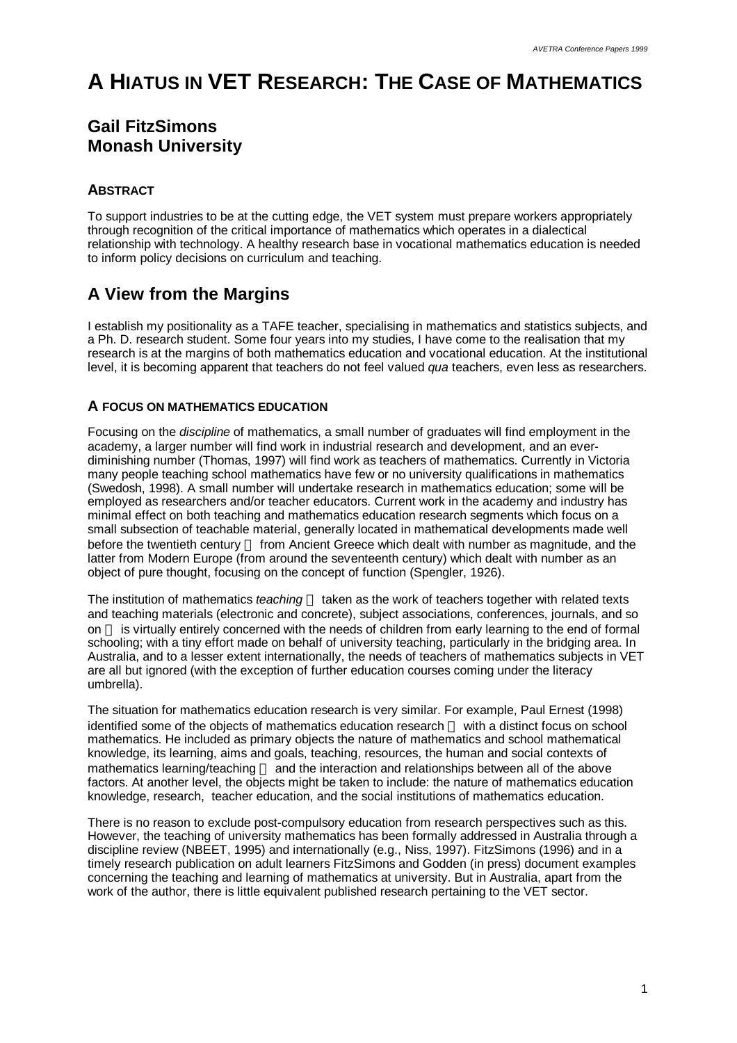# **A HIATUS IN VET RESEARCH: THE CASE OF MATHEMATICS**

# **Gail FitzSimons Monash University**

## **ABSTRACT**

To support industries to be at the cutting edge, the VET system must prepare workers appropriately through recognition of the critical importance of mathematics which operates in a dialectical relationship with technology. A healthy research base in vocational mathematics education is needed to inform policy decisions on curriculum and teaching.

# **A View from the Margins**

I establish my positionality as a TAFE teacher, specialising in mathematics and statistics subjects, and a Ph. D. research student. Some four years into my studies, I have come to the realisation that my research is at the margins of both mathematics education and vocational education. At the institutional level, it is becoming apparent that teachers do not feel valued *qua* teachers, even less as researchers.

### **A FOCUS ON MATHEMATICS EDUCATION**

Focusing on the *discipline* of mathematics, a small number of graduates will find employment in the academy, a larger number will find work in industrial research and development, and an everdiminishing number (Thomas, 1997) will find work as teachers of mathematics. Currently in Victoria many people teaching school mathematics have few or no university qualifications in mathematics (Swedosh, 1998). A small number will undertake research in mathematics education; some will be employed as researchers and/or teacher educators. Current work in the academy and industry has minimal effect on both teaching and mathematics education research segments which focus on a small subsection of teachable material, generally located in mathematical developments made well before the twentieth century - from Ancient Greece which dealt with number as magnitude, and the latter from Modern Europe (from around the seventeenth century) which dealt with number as an object of pure thought, focusing on the concept of function (Spengler, 1926).

The institution of mathematics *teaching* — taken as the work of teachers together with related texts and teaching materials (electronic and concrete), subject associations, conferences, journals, and so on — is virtually entirely concerned with the needs of children from early learning to the end of formal schooling; with a tiny effort made on behalf of university teaching, particularly in the bridging area. In Australia, and to a lesser extent internationally, the needs of teachers of mathematics subjects in VET are all but ignored (with the exception of further education courses coming under the literacy umbrella).

The situation for mathematics education research is very similar. For example, Paul Ernest (1998) identified some of the objects of mathematics education research — with a distinct focus on school mathematics. He included as primary objects the nature of mathematics and school mathematical knowledge, its learning, aims and goals, teaching, resources, the human and social contexts of mathematics learning/teaching – and the interaction and relationships between all of the above factors. At another level, the objects might be taken to include: the nature of mathematics education knowledge, research, teacher education, and the social institutions of mathematics education.

There is no reason to exclude post-compulsory education from research perspectives such as this. However, the teaching of university mathematics has been formally addressed in Australia through a discipline review (NBEET, 1995) and internationally (e.g., Niss, 1997). FitzSimons (1996) and in a timely research publication on adult learners FitzSimons and Godden (in press) document examples concerning the teaching and learning of mathematics at university. But in Australia, apart from the work of the author, there is little equivalent published research pertaining to the VET sector.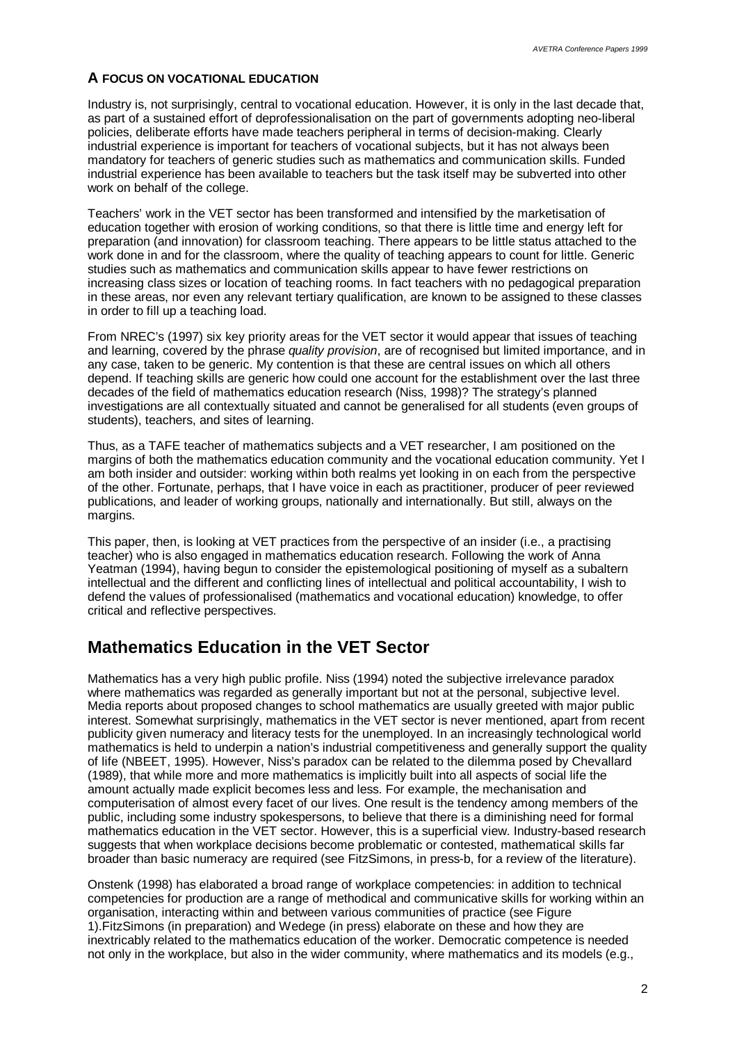#### **A FOCUS ON VOCATIONAL EDUCATION**

Industry is, not surprisingly, central to vocational education. However, it is only in the last decade that, as part of a sustained effort of deprofessionalisation on the part of governments adopting neo-liberal policies, deliberate efforts have made teachers peripheral in terms of decision-making. Clearly industrial experience is important for teachers of vocational subjects, but it has not always been mandatory for teachers of generic studies such as mathematics and communication skills. Funded industrial experience has been available to teachers but the task itself may be subverted into other work on behalf of the college.

Teachers' work in the VET sector has been transformed and intensified by the marketisation of education together with erosion of working conditions, so that there is little time and energy left for preparation (and innovation) for classroom teaching. There appears to be little status attached to the work done in and for the classroom, where the quality of teaching appears to count for little. Generic studies such as mathematics and communication skills appear to have fewer restrictions on increasing class sizes or location of teaching rooms. In fact teachers with no pedagogical preparation in these areas, nor even any relevant tertiary qualification, are known to be assigned to these classes in order to fill up a teaching load.

From NREC's (1997) six key priority areas for the VET sector it would appear that issues of teaching and learning, covered by the phrase *quality provision*, are of recognised but limited importance, and in any case, taken to be generic. My contention is that these are central issues on which all others depend. If teaching skills are generic how could one account for the establishment over the last three decades of the field of mathematics education research (Niss, 1998)? The strategy's planned investigations are all contextually situated and cannot be generalised for all students (even groups of students), teachers, and sites of learning.

Thus, as a TAFE teacher of mathematics subjects and a VET researcher, I am positioned on the margins of both the mathematics education community and the vocational education community. Yet I am both insider and outsider: working within both realms yet looking in on each from the perspective of the other. Fortunate, perhaps, that I have voice in each as practitioner, producer of peer reviewed publications, and leader of working groups, nationally and internationally. But still, always on the margins.

This paper, then, is looking at VET practices from the perspective of an insider (i.e., a practising teacher) who is also engaged in mathematics education research. Following the work of Anna Yeatman (1994), having begun to consider the epistemological positioning of myself as a subaltern intellectual and the different and conflicting lines of intellectual and political accountability, I wish to defend the values of professionalised (mathematics and vocational education) knowledge, to offer critical and reflective perspectives.

## **Mathematics Education in the VET Sector**

Mathematics has a very high public profile. Niss (1994) noted the subjective irrelevance paradox where mathematics was regarded as generally important but not at the personal, subjective level. Media reports about proposed changes to school mathematics are usually greeted with major public interest. Somewhat surprisingly, mathematics in the VET sector is never mentioned, apart from recent publicity given numeracy and literacy tests for the unemployed. In an increasingly technological world mathematics is held to underpin a nation's industrial competitiveness and generally support the quality of life (NBEET, 1995). However, Niss's paradox can be related to the dilemma posed by Chevallard (1989), that while more and more mathematics is implicitly built into all aspects of social life the amount actually made explicit becomes less and less. For example, the mechanisation and computerisation of almost every facet of our lives. One result is the tendency among members of the public, including some industry spokespersons, to believe that there is a diminishing need for formal mathematics education in the VET sector. However, this is a superficial view. Industry-based research suggests that when workplace decisions become problematic or contested, mathematical skills far broader than basic numeracy are required (see FitzSimons, in press-b, for a review of the literature).

Onstenk (1998) has elaborated a broad range of workplace competencies: in addition to technical competencies for production are a range of methodical and communicative skills for working within an organisation, interacting within and between various communities of practice (see Figure 1).FitzSimons (in preparation) and Wedege (in press) elaborate on these and how they are inextricably related to the mathematics education of the worker. Democratic competence is needed not only in the workplace, but also in the wider community, where mathematics and its models (e.g.,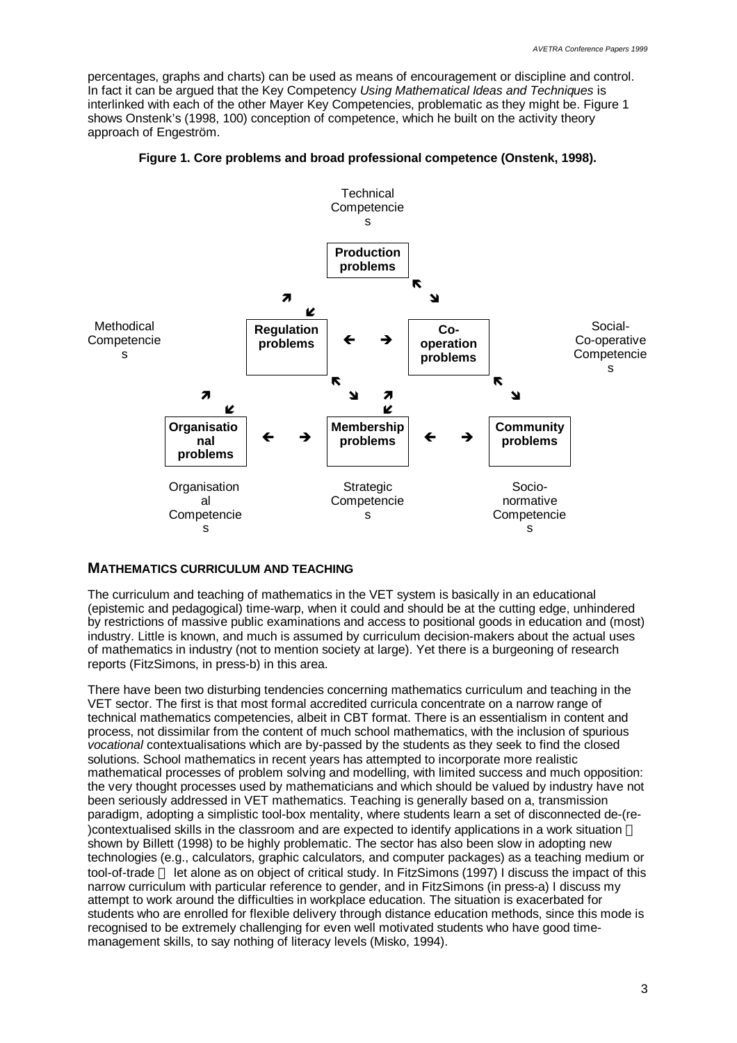percentages, graphs and charts) can be used as means of encouragement or discipline and control. In fact it can be argued that the Key Competency *Using Mathematical Ideas and Techniques* is interlinked with each of the other Mayer Key Competencies, problematic as they might be. Figure 1 shows Onstenk's (1998, 100) conception of competence, which he built on the activity theory approach of Engeström.



**Figure 1. Core problems and broad professional competence (Onstenk, 1998).**

#### **MATHEMATICS CURRICULUM AND TEACHING**

The curriculum and teaching of mathematics in the VET system is basically in an educational (epistemic and pedagogical) time-warp, when it could and should be at the cutting edge, unhindered by restrictions of massive public examinations and access to positional goods in education and (most) industry. Little is known, and much is assumed by curriculum decision-makers about the actual uses of mathematics in industry (not to mention society at large). Yet there is a burgeoning of research reports (FitzSimons, in press-b) in this area.

There have been two disturbing tendencies concerning mathematics curriculum and teaching in the VET sector. The first is that most formal accredited curricula concentrate on a narrow range of technical mathematics competencies, albeit in CBT format. There is an essentialism in content and process, not dissimilar from the content of much school mathematics, with the inclusion of spurious *vocational* contextualisations which are by-passed by the students as they seek to find the closed solutions. School mathematics in recent years has attempted to incorporate more realistic mathematical processes of problem solving and modelling, with limited success and much opposition: the very thought processes used by mathematicians and which should be valued by industry have not been seriously addressed in VET mathematics. Teaching is generally based on a, transmission paradigm, adopting a simplistic tool-box mentality, where students learn a set of disconnected de-(re- )contextualised skills in the classroom and are expected to identify applications in a work situation shown by Billett (1998) to be highly problematic. The sector has also been slow in adopting new technologies (e.g., calculators, graphic calculators, and computer packages) as a teaching medium or tool-of-trade — let alone as on object of critical study. In FitzSimons (1997) I discuss the impact of this narrow curriculum with particular reference to gender, and in FitzSimons (in press-a) I discuss my attempt to work around the difficulties in workplace education. The situation is exacerbated for students who are enrolled for flexible delivery through distance education methods, since this mode is recognised to be extremely challenging for even well motivated students who have good timemanagement skills, to say nothing of literacy levels (Misko, 1994).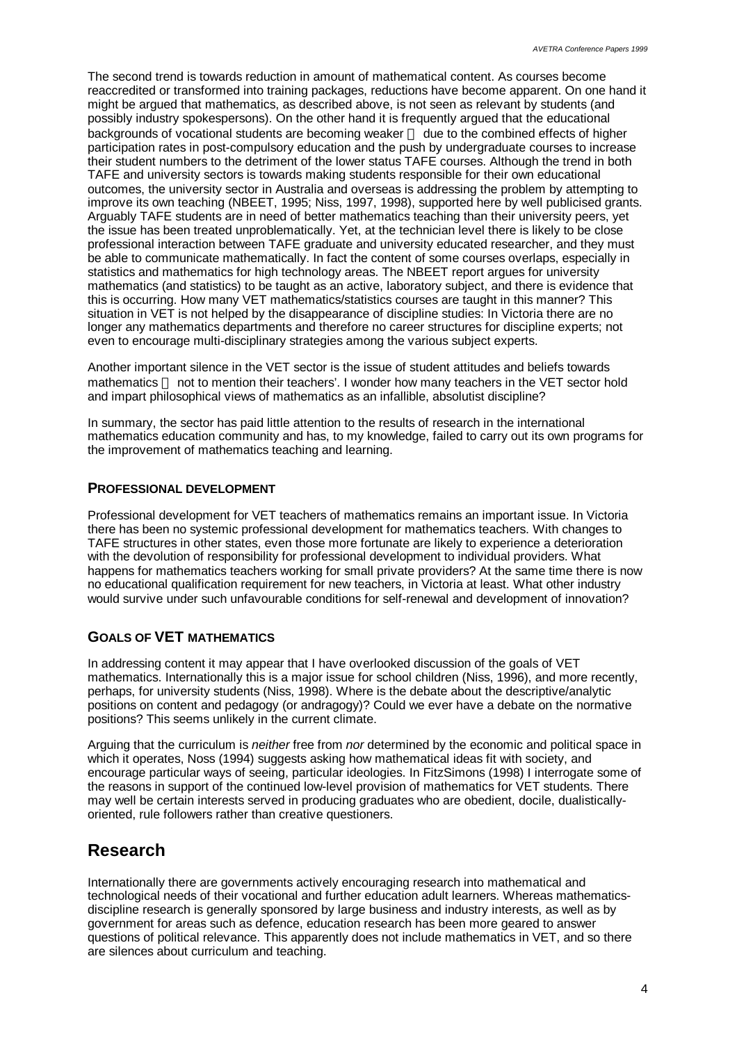The second trend is towards reduction in amount of mathematical content. As courses become reaccredited or transformed into training packages, reductions have become apparent. On one hand it might be argued that mathematics, as described above, is not seen as relevant by students (and possibly industry spokespersons). On the other hand it is frequently argued that the educational backgrounds of vocational students are becoming weaker — due to the combined effects of higher participation rates in post-compulsory education and the push by undergraduate courses to increase their student numbers to the detriment of the lower status TAFE courses. Although the trend in both TAFE and university sectors is towards making students responsible for their own educational outcomes, the university sector in Australia and overseas is addressing the problem by attempting to improve its own teaching (NBEET, 1995; Niss, 1997, 1998), supported here by well publicised grants. Arquably TAFE students are in need of better mathematics teaching than their university peers, yet the issue has been treated unproblematically. Yet, at the technician level there is likely to be close professional interaction between TAFE graduate and university educated researcher, and they must be able to communicate mathematically. In fact the content of some courses overlaps, especially in statistics and mathematics for high technology areas. The NBEET report argues for university mathematics (and statistics) to be taught as an active, laboratory subject, and there is evidence that this is occurring. How many VET mathematics/statistics courses are taught in this manner? This situation in VET is not helped by the disappearance of discipline studies: In Victoria there are no longer any mathematics departments and therefore no career structures for discipline experts; not even to encourage multi-disciplinary strategies among the various subject experts.

Another important silence in the VET sector is the issue of student attitudes and beliefs towards mathematics - not to mention their teachers'. I wonder how many teachers in the VET sector hold and impart philosophical views of mathematics as an infallible, absolutist discipline?

In summary, the sector has paid little attention to the results of research in the international mathematics education community and has, to my knowledge, failed to carry out its own programs for the improvement of mathematics teaching and learning.

#### **PROFESSIONAL DEVELOPMENT**

Professional development for VET teachers of mathematics remains an important issue. In Victoria there has been no systemic professional development for mathematics teachers. With changes to TAFE structures in other states, even those more fortunate are likely to experience a deterioration with the devolution of responsibility for professional development to individual providers. What happens for mathematics teachers working for small private providers? At the same time there is now no educational qualification requirement for new teachers, in Victoria at least. What other industry would survive under such unfavourable conditions for self-renewal and development of innovation?

#### **GOALS OF VET MATHEMATICS**

In addressing content it may appear that I have overlooked discussion of the goals of VET mathematics. Internationally this is a major issue for school children (Niss, 1996), and more recently, perhaps, for university students (Niss, 1998). Where is the debate about the descriptive/analytic positions on content and pedagogy (or andragogy)? Could we ever have a debate on the normative positions? This seems unlikely in the current climate.

Arguing that the curriculum is *neither* free from *nor* determined by the economic and political space in which it operates, Noss (1994) suggests asking how mathematical ideas fit with society, and encourage particular ways of seeing, particular ideologies. In FitzSimons (1998) I interrogate some of the reasons in support of the continued low-level provision of mathematics for VET students. There may well be certain interests served in producing graduates who are obedient, docile, dualisticallyoriented, rule followers rather than creative questioners.

## **Research**

Internationally there are governments actively encouraging research into mathematical and technological needs of their vocational and further education adult learners. Whereas mathematicsdiscipline research is generally sponsored by large business and industry interests, as well as by government for areas such as defence, education research has been more geared to answer questions of political relevance. This apparently does not include mathematics in VET, and so there are silences about curriculum and teaching.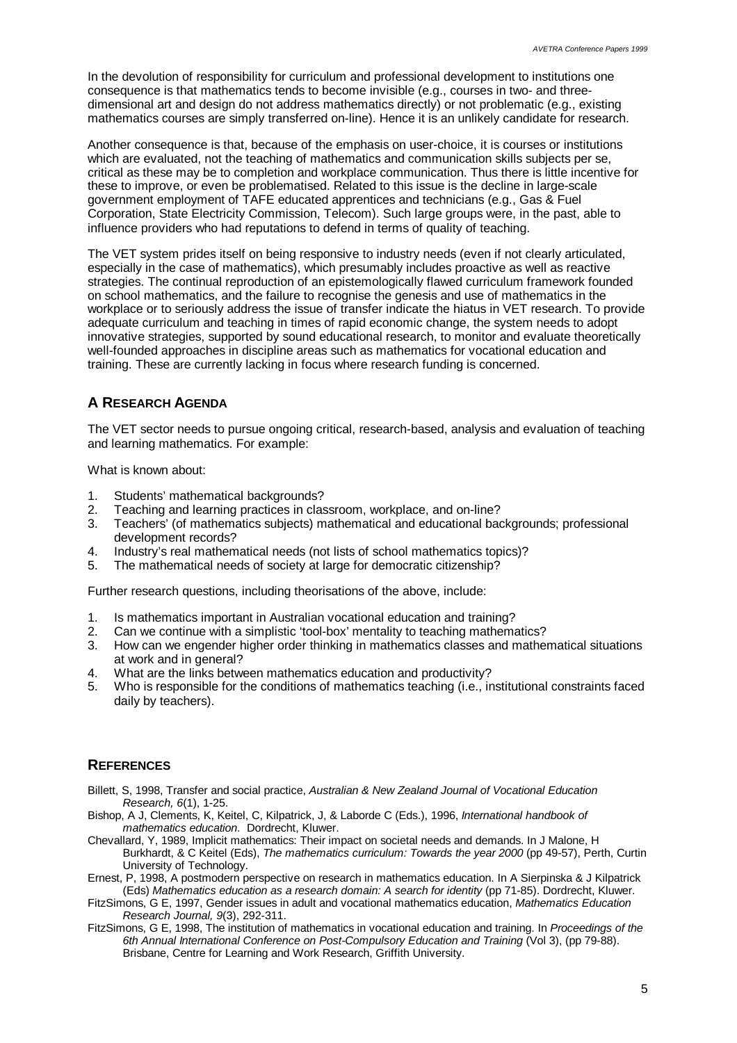In the devolution of responsibility for curriculum and professional development to institutions one consequence is that mathematics tends to become invisible (e.g., courses in two- and threedimensional art and design do not address mathematics directly) or not problematic (e.g., existing mathematics courses are simply transferred on-line). Hence it is an unlikely candidate for research.

Another consequence is that, because of the emphasis on user-choice, it is courses or institutions which are evaluated, not the teaching of mathematics and communication skills subjects per se, critical as these may be to completion and workplace communication. Thus there is little incentive for these to improve, or even be problematised. Related to this issue is the decline in large-scale government employment of TAFE educated apprentices and technicians (e.g., Gas & Fuel Corporation, State Electricity Commission, Telecom). Such large groups were, in the past, able to influence providers who had reputations to defend in terms of quality of teaching.

The VET system prides itself on being responsive to industry needs (even if not clearly articulated, especially in the case of mathematics), which presumably includes proactive as well as reactive strategies. The continual reproduction of an epistemologically flawed curriculum framework founded on school mathematics, and the failure to recognise the genesis and use of mathematics in the workplace or to seriously address the issue of transfer indicate the hiatus in VET research. To provide adequate curriculum and teaching in times of rapid economic change, the system needs to adopt innovative strategies, supported by sound educational research, to monitor and evaluate theoretically well-founded approaches in discipline areas such as mathematics for vocational education and training. These are currently lacking in focus where research funding is concerned.

## **A RESEARCH AGENDA**

The VET sector needs to pursue ongoing critical, research-based, analysis and evaluation of teaching and learning mathematics. For example:

What is known about:

- 1. Students' mathematical backgrounds?
- 2. Teaching and learning practices in classroom, workplace, and on-line?
- 3. Teachers' (of mathematics subjects) mathematical and educational backgrounds; professional development records?
- 4. Industry's real mathematical needs (not lists of school mathematics topics)?
- 5. The mathematical needs of society at large for democratic citizenship?

Further research questions, including theorisations of the above, include:

- 1. Is mathematics important in Australian vocational education and training?<br>2. Can we continue with a simplistic 'tool-box' mentality to teaching mathema
- 2. Can we continue with a simplistic 'tool-box' mentality to teaching mathematics?
- 3. How can we engender higher order thinking in mathematics classes and mathematical situations at work and in general?
- 4. What are the links between mathematics education and productivity?
- 5. Who is responsible for the conditions of mathematics teaching (i.e., institutional constraints faced daily by teachers).

## **REFERENCES**

- Billett, S, 1998, Transfer and social practice, *Australian & New Zealand Journal of Vocational Education Research, 6*(1), 1-25.
- Bishop, A J, Clements, K, Keitel, C, Kilpatrick, J, & Laborde C (Eds.), 1996, *International handbook of mathematics education*. Dordrecht, Kluwer.
- Chevallard, Y, 1989, Implicit mathematics: Their impact on societal needs and demands. In J Malone, H Burkhardt, & C Keitel (Eds), *The mathematics curriculum: Towards the year 2000* (pp 49-57), Perth, Curtin University of Technology.
- Ernest, P, 1998, A postmodern perspective on research in mathematics education. In A Sierpinska & J Kilpatrick (Eds) *Mathematics education as a research domain: A search for identity* (pp 71-85). Dordrecht, Kluwer.
- FitzSimons, G E, 1997, Gender issues in adult and vocational mathematics education, *Mathematics Education Research Journal, 9*(3), 292-311.
- FitzSimons, G E, 1998, The institution of mathematics in vocational education and training. In *Proceedings of the 6th Annual International Conference on Post-Compulsory Education and Training* (Vol 3), (pp 79-88). Brisbane, Centre for Learning and Work Research, Griffith University.